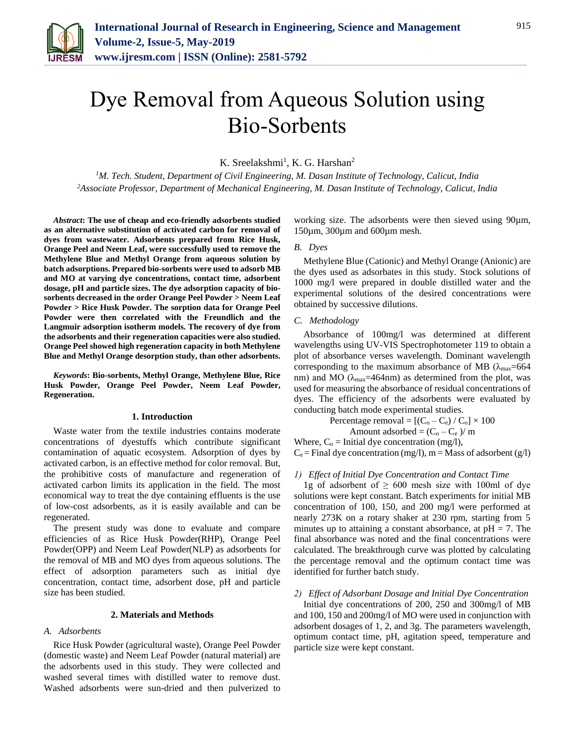

# Dye Removal from Aqueous Solution using Bio-Sorbents

K. Sreelakshmi<sup>1</sup>, K. G. Harshan<sup>2</sup>

*<sup>1</sup>M. Tech. Student, Department of Civil Engineering, M. Dasan Institute of Technology, Calicut, India <sup>2</sup>Associate Professor, Department of Mechanical Engineering, M. Dasan Institute of Technology, Calicut, India*

*Abstract***: The use of cheap and eco-friendly adsorbents studied as an alternative substitution of activated carbon for removal of dyes from wastewater. Adsorbents prepared from Rice Husk, Orange Peel and Neem Leaf, were successfully used to remove the Methylene Blue and Methyl Orange from aqueous solution by batch adsorptions. Prepared bio-sorbents were used to adsorb MB and MO at varying dye concentrations, contact time, adsorbent dosage, pH and particle sizes. The dye adsorption capacity of biosorbents decreased in the order Orange Peel Powder > Neem Leaf Powder > Rice Husk Powder. The sorption data for Orange Peel Powder were then correlated with the Freundlich and the Langmuir adsorption isotherm models. The recovery of dye from the adsorbents and their regeneration capacities were also studied. Orange Peel showed high regeneration capacity in both Methylene Blue and Methyl Orange desorption study, than other adsorbents.**

*Keywords***: Bio-sorbents, Methyl Orange, Methylene Blue, Rice Husk Powder, Orange Peel Powder, Neem Leaf Powder, Regeneration.**

#### **1. Introduction**

Waste water from the textile industries contains moderate concentrations of dyestuffs which contribute significant contamination of aquatic ecosystem. Adsorption of dyes by activated carbon, is an effective method for color removal. But, the prohibitive costs of manufacture and regeneration of activated carbon limits its application in the field. The most economical way to treat the dye containing effluents is the use of low-cost adsorbents, as it is easily available and can be regenerated.

The present study was done to evaluate and compare efficiencies of as Rice Husk Powder(RHP), Orange Peel Powder(OPP) and Neem Leaf Powder(NLP) as adsorbents for the removal of MB and MO dyes from aqueous solutions. The effect of adsorption parameters such as initial dye concentration, contact time, adsorbent dose, pH and particle size has been studied.

#### **2. Materials and Methods**

#### *A. Adsorbents*

Rice Husk Powder (agricultural waste), Orange Peel Powder (domestic waste) and Neem Leaf Powder (natural material) are the adsorbents used in this study. They were collected and washed several times with distilled water to remove dust. Washed adsorbents were sun-dried and then pulverized to

working size. The adsorbents were then sieved using 90 $\mu$ m, 150µm, 300µm and 600µm mesh.

## *B. Dyes*

Methylene Blue (Cationic) and Methyl Orange (Anionic) are the dyes used as adsorbates in this study. Stock solutions of 1000 mg/l were prepared in double distilled water and the experimental solutions of the desired concentrations were obtained by successive dilutions.

#### *C. Methodology*

Absorbance of 100mg/l was determined at different wavelengths using UV-VIS Spectrophotometer 119 to obtain a plot of absorbance verses wavelength. Dominant wavelength corresponding to the maximum absorbance of MB ( $\lambda_{\text{max}}$ =664 nm) and MO  $(\lambda_{\text{max}}=464 \text{nm})$  as determined from the plot, was used for measuring the absorbance of residual concentrations of dyes. The efficiency of the adsorbents were evaluated by conducting batch mode experimental studies.

Percentage removal =  $[(C_o - C_e) / C_o] \times 100$ 

Amount adsorbed =  $(C_0 - C_e)$ / m

Where,  $C_0$  = Initial dye concentration (mg/l),  $C_e$  = Final dye concentration (mg/l), m = Mass of adsorbent (g/l)

#### *1) Effect of Initial Dye Concentration and Contact Time*

1g of adsorbent of  $\geq 600$  mesh size with 100ml of dye solutions were kept constant. Batch experiments for initial MB concentration of 100, 150, and 200 mg/l were performed at nearly 273K on a rotary shaker at 230 rpm, starting from 5 minutes up to attaining a constant absorbance, at  $pH = 7$ . The final absorbance was noted and the final concentrations were calculated. The breakthrough curve was plotted by calculating the percentage removal and the optimum contact time was identified for further batch study.

#### *2) Effect of Adsorbant Dosage and Initial Dye Concentration*

Initial dye concentrations of 200, 250 and 300mg/l of MB and 100, 150 and 200mg/l of MO were used in conjunction with adsorbent dosages of 1, 2, and 3g. The parameters wavelength, optimum contact time, pH, agitation speed, temperature and particle size were kept constant.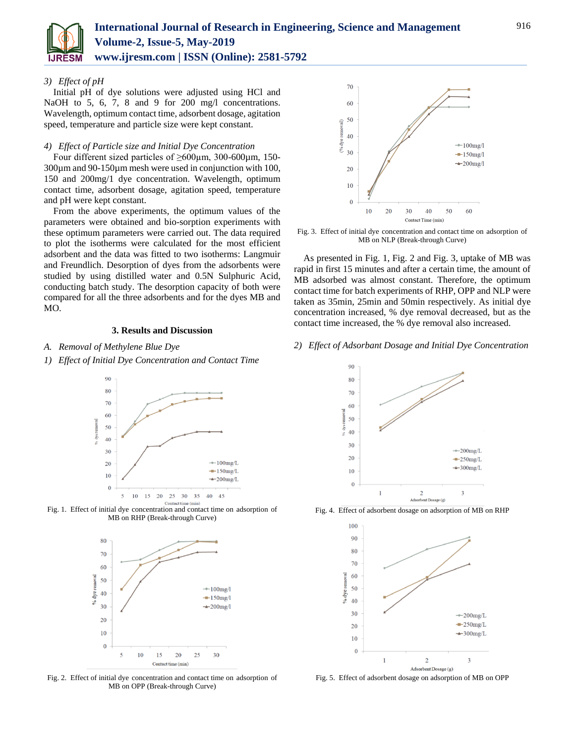

## *3) Effect of pH*

Initial pH of dye solutions were adjusted using HCl and NaOH to 5, 6, 7, 8 and 9 for 200 mg/l concentrations. Wavelength, optimum contact time, adsorbent dosage, agitation speed, temperature and particle size were kept constant.

#### *4) Effect of Particle size and Initial Dye Concentration*

Four different sized particles of ≥600µm, 300-600µm, 150- 300µm and 90-150µm mesh were used in conjunction with 100, 150 and 200mg/1 dye concentration. Wavelength, optimum contact time, adsorbent dosage, agitation speed, temperature and pH were kept constant.

From the above experiments, the optimum values of the parameters were obtained and bio-sorption experiments with these optimum parameters were carried out. The data required to plot the isotherms were calculated for the most efficient adsorbent and the data was fitted to two isotherms: Langmuir and Freundlich. Desorption of dyes from the adsorbents were studied by using distilled water and 0.5N Sulphuric Acid, conducting batch study. The desorption capacity of both were compared for all the three adsorbents and for the dyes MB and MO.

## **3. Results and Discussion**

*A. Removal of Methylene Blue Dye*









Fig. 2. Effect of initial dye concentration and contact time on adsorption of MB on OPP (Break-through Curve)



Fig. 3. Effect of initial dye concentration and contact time on adsorption of MB on NLP (Break-through Curve)

As presented in Fig. 1, Fig. 2 and Fig. 3, uptake of MB was rapid in first 15 minutes and after a certain time, the amount of MB adsorbed was almost constant. Therefore, the optimum contact time for batch experiments of RHP, OPP and NLP were taken as 35min, 25min and 50min respectively. As initial dye concentration increased, % dye removal decreased, but as the contact time increased, the % dye removal also increased.

#### *2) Effect of Adsorbant Dosage and Initial Dye Concentration*



Fig. 4. Effect of adsorbent dosage on adsorption of MB on RHP



Fig. 5. Effect of adsorbent dosage on adsorption of MB on OPP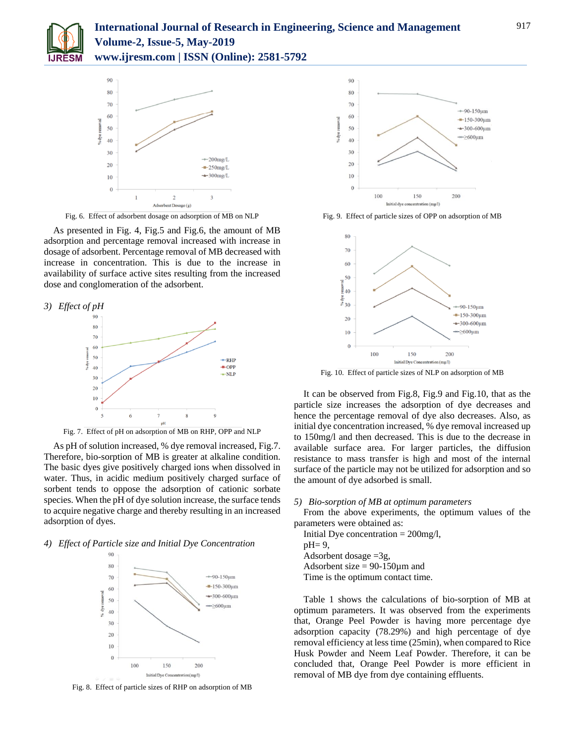



Fig. 6. Effect of adsorbent dosage on adsorption of MB on NLP

As presented in Fig. 4, Fig.5 and Fig.6, the amount of MB adsorption and percentage removal increased with increase in dosage of adsorbent. Percentage removal of MB decreased with increase in concentration. This is due to the increase in availability of surface active sites resulting from the increased dose and conglomeration of the adsorbent.



Fig. 7. Effect of pH on adsorption of MB on RHP, OPP and NLP

As pH of solution increased, % dye removal increased, Fig.7. Therefore, bio-sorption of MB is greater at alkaline condition. The basic dyes give positively charged ions when dissolved in water. Thus, in acidic medium positively charged surface of sorbent tends to oppose the adsorption of cationic sorbate species. When the pH of dye solution increase, the surface tends to acquire negative charge and thereby resulting in an increased adsorption of dyes.

#### *4) Effect of Particle size and Initial Dye Concentration*



Fig. 8. Effect of particle sizes of RHP on adsorption of MB



Fig. 9. Effect of particle sizes of OPP on adsorption of MB



Fig. 10. Effect of particle sizes of NLP on adsorption of MB

It can be observed from Fig.8, Fig.9 and Fig.10, that as the particle size increases the adsorption of dye decreases and hence the percentage removal of dye also decreases. Also, as initial dye concentration increased, % dye removal increased up to 150mg/l and then decreased. This is due to the decrease in available surface area. For larger particles, the diffusion resistance to mass transfer is high and most of the internal surface of the particle may not be utilized for adsorption and so the amount of dye adsorbed is small.

#### *5) Bio-sorption of MB at optimum parameters*

From the above experiments, the optimum values of the parameters were obtained as:

Initial Dye concentration  $= 200$ mg/l,  $pH = 9$ , Adsorbent dosage =3g, Adsorbent size  $= 90-150 \mu m$  and Time is the optimum contact time.

Table 1 shows the calculations of bio-sorption of MB at optimum parameters. It was observed from the experiments that, Orange Peel Powder is having more percentage dye adsorption capacity (78.29%) and high percentage of dye removal efficiency at lesstime (25min), when compared to Rice Husk Powder and Neem Leaf Powder. Therefore, it can be concluded that, Orange Peel Powder is more efficient in

removal of MB dye from dye containing effluents.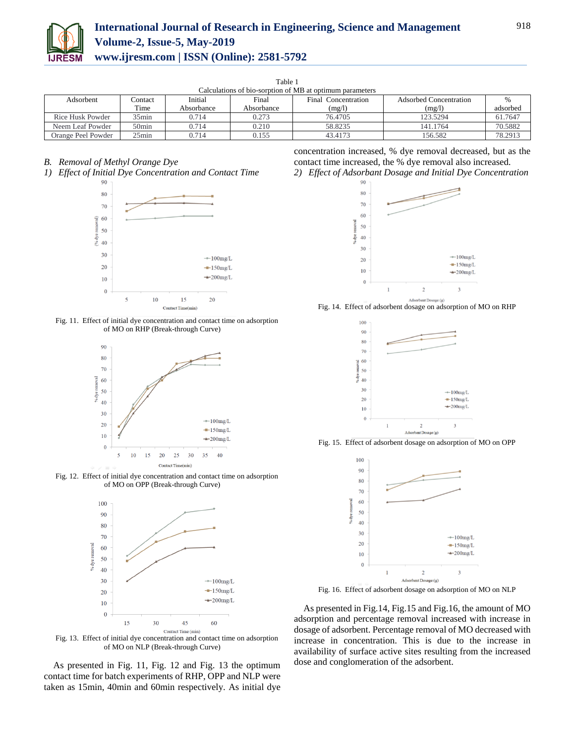

| Table 1                                                  |                   |            |            |                     |                        |          |
|----------------------------------------------------------|-------------------|------------|------------|---------------------|------------------------|----------|
| Calculations of bio-sorption of MB at optimum parameters |                   |            |            |                     |                        |          |
| Adsorbent                                                | Contact           | Initial    | Final      | Final Concentration | Adsorbed Concentration |          |
|                                                          | Time              | Absorbance | Absorbance | (mg/l)              | (mg/l)                 | adsorbed |
| Rice Husk Powder                                         | $35\text{min}$    | 0.714      | 0.273      | 76.4705             | 123.5294               | 61.7647  |
| Neem Leaf Powder                                         | 50 <sub>min</sub> | 0.714      | 0.210      | 58.8235             | 141.1764               | 70.5882  |
| Orange Peel Powder                                       | $25$ min          | 0.714      | 0.155      | 43.4173             | 156.582                | 78.2913  |

*B. Removal of Methyl Orange Dye*









Fig. 12. Effect of initial dye concentration and contact time on adsorption of MO on OPP (Break-through Curve)



Fig. 13. Effect of initial dye concentration and contact time on adsorption of MO on NLP (Break-through Curve)

As presented in Fig. 11, Fig. 12 and Fig. 13 the optimum contact time for batch experiments of RHP, OPP and NLP were taken as 15min, 40min and 60min respectively. As initial dye concentration increased, % dye removal decreased, but as the contact time increased, the % dye removal also increased.





Fig. 14. Effect of adsorbent dosage on adsorption of MO on RHP



Fig. 15. Effect of adsorbent dosage on adsorption of MO on OPP



Fig. 16. Effect of adsorbent dosage on adsorption of MO on NLP

As presented in Fig.14, Fig.15 and Fig.16, the amount of MO adsorption and percentage removal increased with increase in dosage of adsorbent. Percentage removal of MO decreased with increase in concentration. This is due to the increase in availability of surface active sites resulting from the increased dose and conglomeration of the adsorbent.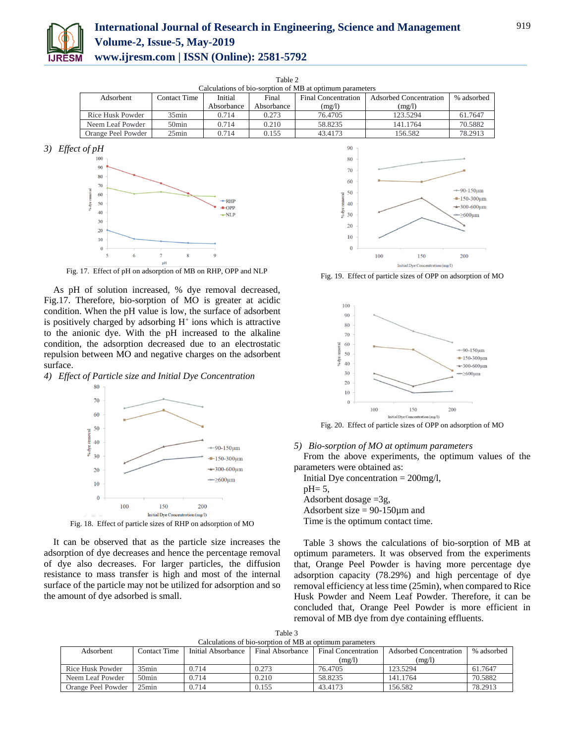

## **International Journal of Research in Engineering, Science and Management Volume-2, Issue-5, May-2019 www.ijresm.com | ISSN (Online): 2581-5792**

| Calculations of bio-sorption of MB at optimum parameters                    |          |            |                        |            |          |         |
|-----------------------------------------------------------------------------|----------|------------|------------------------|------------|----------|---------|
| Initial<br>Contact Time<br>Final<br>Adsorbent<br><b>Final Concentration</b> |          |            | Adsorbed Concentration | % adsorbed |          |         |
|                                                                             |          | Absorbance | Absorbance             | (mg/l)     | (mg/l)   |         |
| Rice Husk Powder                                                            | $35$ min | 0.714      | 0.273                  | 76.4705    | 123.5294 | 61.7647 |
| Neem Leaf Powder                                                            | $50$ min | 0.714      | 0.210                  | 58.8235    | 141.1764 | 70.5882 |
| Orange Peel Powder                                                          | $25$ min | 0.714      | 0.155                  | 43.4173    | 156.582  | 78.2913 |

Table 2

*3) Effect of pH*



Fig. 17. Effect of pH on adsorption of MB on RHP, OPP and NLP

As pH of solution increased, % dye removal decreased, Fig.17. Therefore, bio-sorption of MO is greater at acidic condition. When the pH value is low, the surface of adsorbent is positively charged by adsorbing  $H^+$  ions which is attractive to the anionic dye. With the pH increased to the alkaline condition, the adsorption decreased due to an electrostatic repulsion between MO and negative charges on the adsorbent surface.

*4) Effect of Particle size and Initial Dye Concentration*



Fig. 18. Effect of particle sizes of RHP on adsorption of MO

It can be observed that as the particle size increases the adsorption of dye decreases and hence the percentage removal of dye also decreases. For larger particles, the diffusion resistance to mass transfer is high and most of the internal surface of the particle may not be utilized for adsorption and so the amount of dye adsorbed is small.



Fig. 19. Effect of particle sizes of OPP on adsorption of MO



## *5) Bio-sorption of MO at optimum parameters*

From the above experiments, the optimum values of the parameters were obtained as:

Initial Dye concentration  $= 200$ mg/l,  $pH = 5$ , Adsorbent dosage =3g, Adsorbent size  $= 90-150 \mu m$  and Time is the optimum contact time.

Table 3 shows the calculations of bio-sorption of MB at optimum parameters. It was observed from the experiments that, Orange Peel Powder is having more percentage dye adsorption capacity (78.29%) and high percentage of dye removal efficiency at less time (25min), when compared to Rice Husk Powder and Neem Leaf Powder. Therefore, it can be concluded that, Orange Peel Powder is more efficient in removal of MB dye from dye containing effluents.

| Adsorbent          | Contact Time   | Initial Absorbance | Final Absorbance | <b>Final Concentration</b><br>(mg/l) | Adsorbed Concentration<br>(mg/l) | % adsorbed |
|--------------------|----------------|--------------------|------------------|--------------------------------------|----------------------------------|------------|
| Rice Husk Powder   | $35\text{min}$ | 0.714              | 0.273            | 76.4705                              | 123.5294                         | 61.7647    |
| Neem Leaf Powder   | 50min          | 0.714              | 0.210            | 58.8235                              | 141.1764                         | 70.5882    |
| Orange Peel Powder | $25$ min       | 0.714              | 0.155            | 43.4173                              | 156.582                          | 78.2913    |

Table 3 Calculations of bio-sorption of MB at optimum para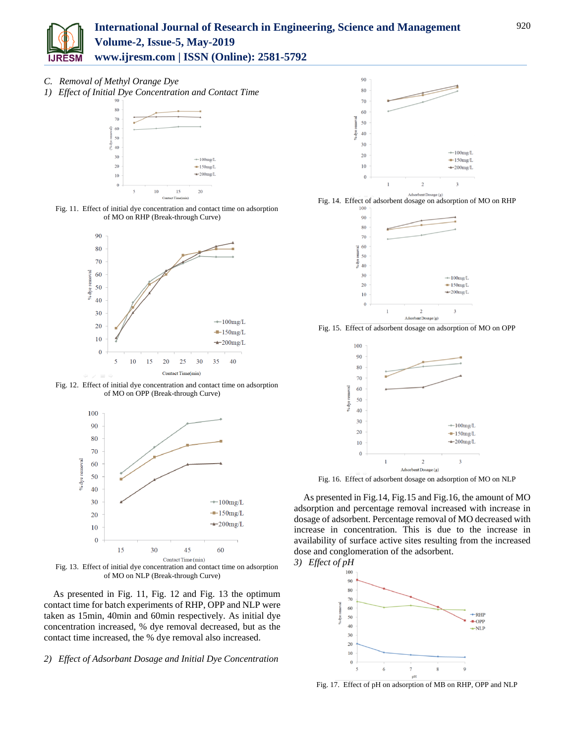

## **International Journal of Research in Engineering, Science and Management Volume-2, Issue-5, May-2019**

**www.ijresm.com | ISSN (Online): 2581-5792** 

- *C. Removal of Methyl Orange Dye*
- *1) Effect of Initial Dye Concentration and Contact Time*







Fig. 12. Effect of initial dye concentration and contact time on adsorption of MO on OPP (Break-through Curve)



Fig. 13. Effect of initial dye concentration and contact time on adsorption of MO on NLP (Break-through Curve)

As presented in Fig. 11, Fig. 12 and Fig. 13 the optimum contact time for batch experiments of RHP, OPP and NLP were taken as 15min, 40min and 60min respectively. As initial dye concentration increased, % dye removal decreased, but as the contact time increased, the % dye removal also increased.

## *2) Effect of Adsorbant Dosage and Initial Dye Concentration*







Fig. 15. Effect of adsorbent dosage on adsorption of MO on OPP



Fig. 16. Effect of adsorbent dosage on adsorption of MO on NLP

As presented in Fig.14, Fig.15 and Fig.16, the amount of MO adsorption and percentage removal increased with increase in dosage of adsorbent. Percentage removal of MO decreased with increase in concentration. This is due to the increase in availability of surface active sites resulting from the increased dose and conglomeration of the adsorbent.

*3) Effect of pH*



Fig. 17. Effect of pH on adsorption of MB on RHP, OPP and NLP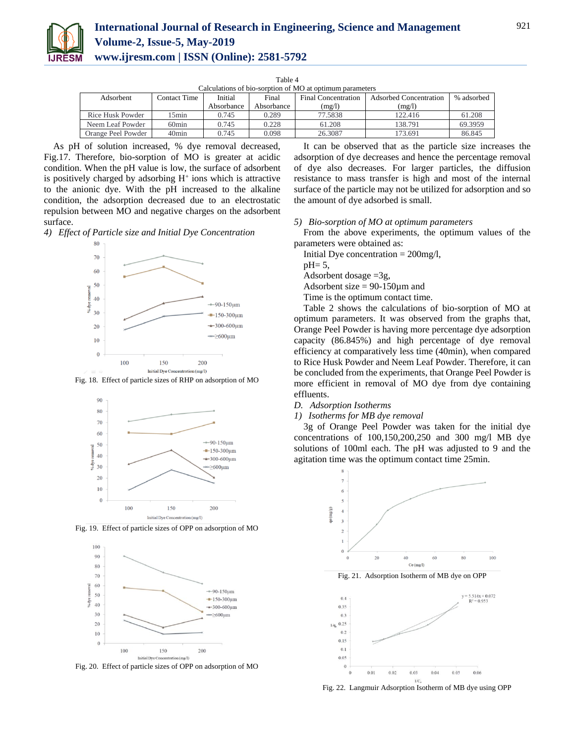

| `able |  |
|-------|--|
|       |  |

| Calculations of bio-sorption of MO at optimum parameters |                                                                                                        |            |            |         |            |         |
|----------------------------------------------------------|--------------------------------------------------------------------------------------------------------|------------|------------|---------|------------|---------|
| Adsorbent                                                | Initial<br>Final<br><b>Adsorbed Concentration</b><br><b>Contact Time</b><br><b>Final Concentration</b> |            |            |         | % adsorbed |         |
|                                                          |                                                                                                        | Absorbance | Absorbance | (mg/l)  | (mg/l)     |         |
| Rice Husk Powder                                         | 5min                                                                                                   | 0.745      | 0.289      | 77.5838 | 122.416    | 61.208  |
| Neem Leaf Powder                                         | 60 <sub>min</sub>                                                                                      | 0.745      | 0.228      | 61.208  | 138.791    | 69.3959 |
| Orange Peel Powder                                       | 40 <sub>min</sub>                                                                                      | 0.745      | 0.098      | 26.3087 | 173.691    | 86.845  |

As pH of solution increased, % dye removal decreased, Fig.17. Therefore, bio-sorption of MO is greater at acidic condition. When the pH value is low, the surface of adsorbent is positively charged by adsorbing  $H^+$  ions which is attractive to the anionic dye. With the pH increased to the alkaline condition, the adsorption decreased due to an electrostatic repulsion between MO and negative charges on the adsorbent surface.

*4) Effect of Particle size and Initial Dye Concentration*



Fig. 18. Effect of particle sizes of RHP on adsorption of MO



Fig. 19. Effect of particle sizes of OPP on adsorption of MO



Fig. 20. Effect of particle sizes of OPP on adsorption of MO

It can be observed that as the particle size increases the adsorption of dye decreases and hence the percentage removal of dye also decreases. For larger particles, the diffusion resistance to mass transfer is high and most of the internal surface of the particle may not be utilized for adsorption and so the amount of dye adsorbed is small.

*5) Bio-sorption of MO at optimum parameters*

From the above experiments, the optimum values of the parameters were obtained as:

Initial Dye concentration  $= 200$ mg/l,

 $pH=5$ .

Adsorbent dosage =3g,

Adsorbent size  $= 90-150 \mu m$  and

Time is the optimum contact time.

Table 2 shows the calculations of bio-sorption of MO at optimum parameters. It was observed from the graphs that, Orange Peel Powder is having more percentage dye adsorption capacity (86.845%) and high percentage of dye removal efficiency at comparatively less time (40min), when compared to Rice Husk Powder and Neem Leaf Powder. Therefore, it can be concluded from the experiments, that Orange Peel Powder is more efficient in removal of MO dye from dye containing effluents.

#### *D. Adsorption Isotherms*

#### *1) Isotherms for MB dye removal*

3g of Orange Peel Powder was taken for the initial dye concentrations of 100,150,200,250 and 300 mg/l MB dye solutions of 100ml each. The pH was adjusted to 9 and the agitation time was the optimum contact time 25min.



Fig. 22. Langmuir Adsorption Isotherm of MB dye using OPP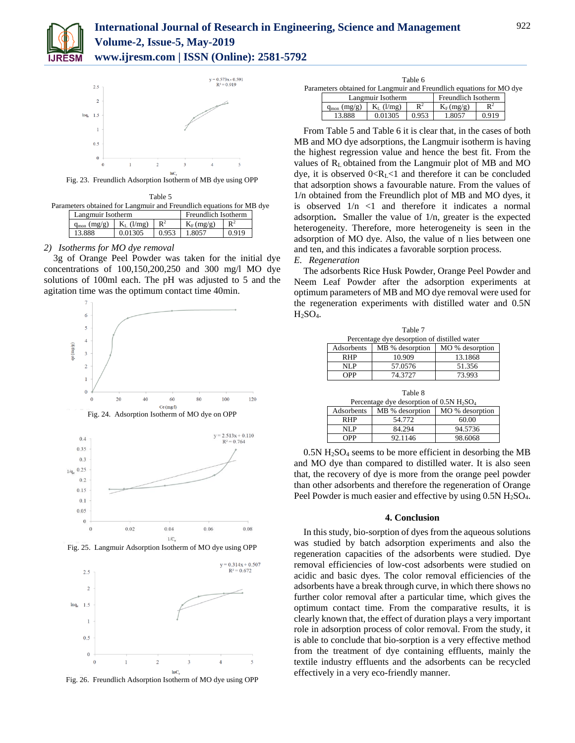

## **International Journal of Research in Engineering, Science and Management Volume-2, Issue-5, May-2019 www.ijresm.com | ISSN (Online): 2581-5792**



Fig. 23. Freundlich Adsorption Isotherm of MB dye using OPP

Table 5 Parameters obtained for Langmuir and Freundlich equations for MB dye

| Langmuir Isotherm       |              | Freundlich Isotherm |             |                |
|-------------------------|--------------|---------------------|-------------|----------------|
| $q_{\text{mon}}$ (mg/g) | $K_L$ (l/mg) | $\mathbf{n}^2$      | $K_F(mg/g)$ | $\mathbf{D}^2$ |
| 13.888                  |              |                     | 1.8057      | 0.010          |

## *2) Isotherms for MO dye removal*

3g of Orange Peel Powder was taken for the initial dye concentrations of 100,150,200,250 and 300 mg/l MO dye solutions of 100ml each. The pH was adjusted to 5 and the agitation time was the optimum contact time 40min.



Fig. 26. Freundlich Adsorption Isotherm of MO dye using OPP

| Table 6 |                                                                      |              |                |                     |                |  |  |
|---------|----------------------------------------------------------------------|--------------|----------------|---------------------|----------------|--|--|
|         | Parameters obtained for Langmuir and Freundlich equations for MO dye |              |                |                     |                |  |  |
|         | Langmuir Isotherm                                                    |              |                | Freundlich Isotherm |                |  |  |
|         | (mg/g)<br>$q_{\text{mon}}$                                           | $K_L$ (l/mg) | $\mathbb{R}^2$ | $K_F(mg/g)$         | $\mathbf{R}^2$ |  |  |
|         | 13.888                                                               | 0.01305      | 0.953          | 1.8057              | 0.919          |  |  |

From Table 5 and Table 6 it is clear that, in the cases of both MB and MO dye adsorptions, the Langmuir isotherm is having the highest regression value and hence the best fit. From the values of RL obtained from the Langmuir plot of MB and MO dye, it is observed  $0 < R_L < 1$  and therefore it can be concluded that adsorption shows a favourable nature. From the values of 1/n obtained from the Freundlich plot of MB and MO dyes, it is observed  $1/n < 1$  and therefore it indicates a normal adsorption**.** Smaller the value of 1/n, greater is the expected heterogeneity. Therefore, more heterogeneity is seen in the adsorption of MO dye. Also, the value of n lies between one and ten, and this indicates a favorable sorption process.

#### *E. Regeneration*

The adsorbents Rice Husk Powder, Orange Peel Powder and Neem Leaf Powder after the adsorption experiments at optimum parameters of MB and MO dye removal were used for the regeneration experiments with distilled water and 0.5N  $H<sub>2</sub>SO<sub>4</sub>$ .

| Table 7                                      |                 |                 |  |  |  |  |  |
|----------------------------------------------|-----------------|-----------------|--|--|--|--|--|
| Percentage dye desorption of distilled water |                 |                 |  |  |  |  |  |
| Adsorbents                                   | MB % desorption | MO % desorption |  |  |  |  |  |
| <b>RHP</b>                                   | 10.909          | 13.1868         |  |  |  |  |  |
| NLP                                          | 57.0576         | 51.356          |  |  |  |  |  |
| <b>OPP</b>                                   | 74.3727         | 73.993          |  |  |  |  |  |
|                                              |                 |                 |  |  |  |  |  |

| Table 8<br>Percentage dye desorption of $0.5N$ H <sub>2</sub> SO <sub>4</sub> |                 |                 |  |  |  |  |  |
|-------------------------------------------------------------------------------|-----------------|-----------------|--|--|--|--|--|
| Adsorbents                                                                    | MB % desorption | MO % desorption |  |  |  |  |  |
| <b>RHP</b>                                                                    | 54.772          | 60.00           |  |  |  |  |  |
| NLP                                                                           | 84.294          | 94.5736         |  |  |  |  |  |
| <b>OPP</b>                                                                    | 92.1146         | 98.6068         |  |  |  |  |  |

 $0.5N H<sub>2</sub>SO<sub>4</sub>$  seems to be more efficient in desorbing the MB and MO dye than compared to distilled water. It is also seen that, the recovery of dye is more from the orange peel powder than other adsorbents and therefore the regeneration of Orange Peel Powder is much easier and effective by using  $0.5N H<sub>2</sub>SO<sub>4</sub>$ .

#### **4. Conclusion**

In this study, bio-sorption of dyes from the aqueous solutions was studied by batch adsorption experiments and also the regeneration capacities of the adsorbents were studied. Dye removal efficiencies of low-cost adsorbents were studied on acidic and basic dyes. The color removal efficiencies of the adsorbents have a break through curve, in which there shows no further color removal after a particular time, which gives the optimum contact time. From the comparative results, it is clearly known that, the effect of duration plays a very important role in adsorption process of color removal. From the study, it is able to conclude that bio-sorption is a very effective method from the treatment of dye containing effluents, mainly the textile industry effluents and the adsorbents can be recycled effectively in a very eco-friendly manner.